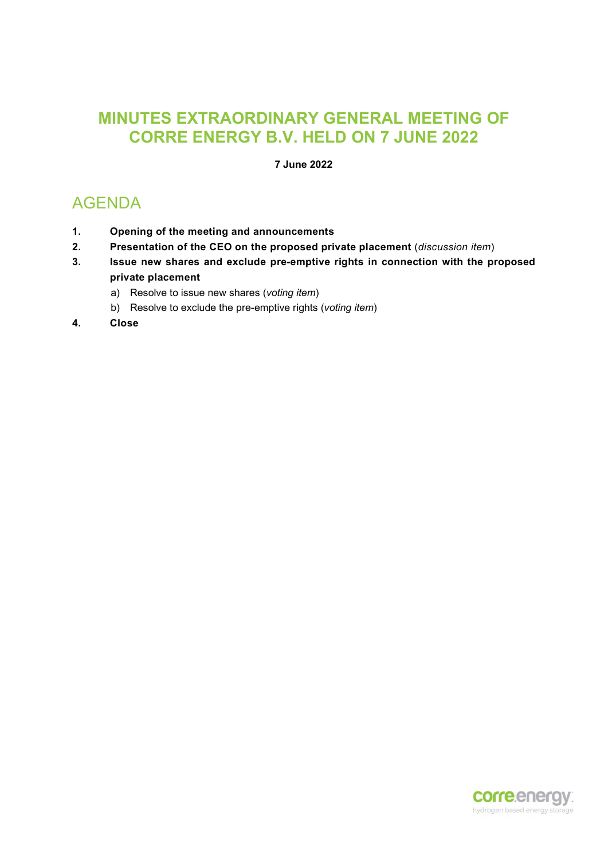## MINUTES EXTRAORDINARY GENERAL MEETING OF CORRE ENERGY B.V. HELD ON 7 JUNE 2022

7 June 2022

# AGENDA

- 1. Opening of the meeting and announcements
- 2. Presentation of the CEO on the proposed private placement (discussion item)
- 3. Issue new shares and exclude pre-emptive rights in connection with the proposed private placement
	- a) Resolve to issue new shares (voting item)
	- b) Resolve to exclude the pre-emptive rights (voting item)
- 4. Close

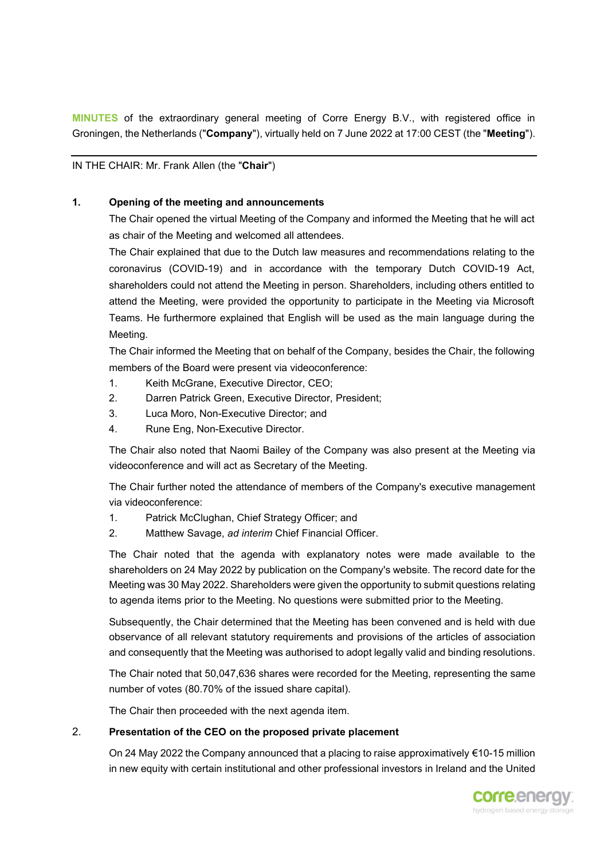MINUTES of the extraordinary general meeting of Corre Energy B.V., with registered office in Groningen, the Netherlands ("Company"), virtually held on 7 June 2022 at 17:00 CEST (the "Meeting").

IN THE CHAIR: Mr. Frank Allen (the "Chair")

#### **1.** Opening of the meeting and announcements

The Chair opened the virtual Meeting of the Company and informed the Meeting that he will act as chair of the Meeting and welcomed all attendees.

The Chair explained that due to the Dutch law measures and recommendations relating to the coronavirus (COVID-19) and in accordance with the temporary Dutch COVID-19 Act, shareholders could not attend the Meeting in person. Shareholders, including others entitled to attend the Meeting, were provided the opportunity to participate in the Meeting via Microsoft Teams. He furthermore explained that English will be used as the main language during the Meeting.

The Chair informed the Meeting that on behalf of the Company, besides the Chair, the following members of the Board were present via videoconference:

- 1. Keith McGrane, Executive Director, CEO;
- 2. Darren Patrick Green, Executive Director, President;
- 3. Luca Moro, Non-Executive Director; and
- 4. Rune Eng, Non-Executive Director.

The Chair also noted that Naomi Bailey of the Company was also present at the Meeting via videoconference and will act as Secretary of the Meeting.

The Chair further noted the attendance of members of the Company's executive management via videoconference:

- 1. Patrick McClughan, Chief Strategy Officer; and
- 2. Matthew Savage, ad interim Chief Financial Officer.

The Chair noted that the agenda with explanatory notes were made available to the shareholders on 24 May 2022 by publication on the Company's website. The record date for the Meeting was 30 May 2022. Shareholders were given the opportunity to submit questions relating to agenda items prior to the Meeting. No questions were submitted prior to the Meeting.

Subsequently, the Chair determined that the Meeting has been convened and is held with due observance of all relevant statutory requirements and provisions of the articles of association and consequently that the Meeting was authorised to adopt legally valid and binding resolutions.

The Chair noted that 50,047,636 shares were recorded for the Meeting, representing the same number of votes (80.70% of the issued share capital).

The Chair then proceeded with the next agenda item.

#### 2. Presentation of the CEO on the proposed private placement

On 24 May 2022 the Company announced that a placing to raise approximatively €10-15 million in new equity with certain institutional and other professional investors in Ireland and the United

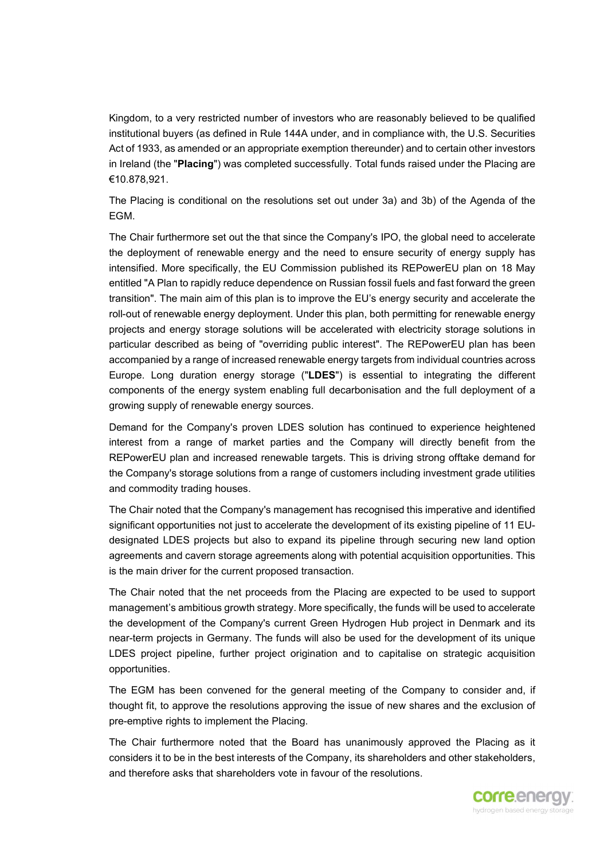Kingdom, to a very restricted number of investors who are reasonably believed to be qualified institutional buyers (as defined in Rule 144A under, and in compliance with, the U.S. Securities Act of 1933, as amended or an appropriate exemption thereunder) and to certain other investors in Ireland (the "Placing") was completed successfully. Total funds raised under the Placing are €10.878,921.

The Placing is conditional on the resolutions set out under 3a) and 3b) of the Agenda of the EGM.

The Chair furthermore set out the that since the Company's IPO, the global need to accelerate the deployment of renewable energy and the need to ensure security of energy supply has intensified. More specifically, the EU Commission published its REPowerEU plan on 18 May entitled "A Plan to rapidly reduce dependence on Russian fossil fuels and fast forward the green transition". The main aim of this plan is to improve the EU's energy security and accelerate the roll-out of renewable energy deployment. Under this plan, both permitting for renewable energy projects and energy storage solutions will be accelerated with electricity storage solutions in particular described as being of "overriding public interest". The REPowerEU plan has been accompanied by a range of increased renewable energy targets from individual countries across Europe. Long duration energy storage ("LDES") is essential to integrating the different components of the energy system enabling full decarbonisation and the full deployment of a growing supply of renewable energy sources.

Demand for the Company's proven LDES solution has continued to experience heightened interest from a range of market parties and the Company will directly benefit from the REPowerEU plan and increased renewable targets. This is driving strong offtake demand for the Company's storage solutions from a range of customers including investment grade utilities and commodity trading houses.

The Chair noted that the Company's management has recognised this imperative and identified significant opportunities not just to accelerate the development of its existing pipeline of 11 EUdesignated LDES projects but also to expand its pipeline through securing new land option agreements and cavern storage agreements along with potential acquisition opportunities. This is the main driver for the current proposed transaction.

The Chair noted that the net proceeds from the Placing are expected to be used to support management's ambitious growth strategy. More specifically, the funds will be used to accelerate the development of the Company's current Green Hydrogen Hub project in Denmark and its near-term projects in Germany. The funds will also be used for the development of its unique LDES project pipeline, further project origination and to capitalise on strategic acquisition opportunities.

The EGM has been convened for the general meeting of the Company to consider and, if thought fit, to approve the resolutions approving the issue of new shares and the exclusion of pre-emptive rights to implement the Placing.

The Chair furthermore noted that the Board has unanimously approved the Placing as it considers it to be in the best interests of the Company, its shareholders and other stakeholders, and therefore asks that shareholders vote in favour of the resolutions.

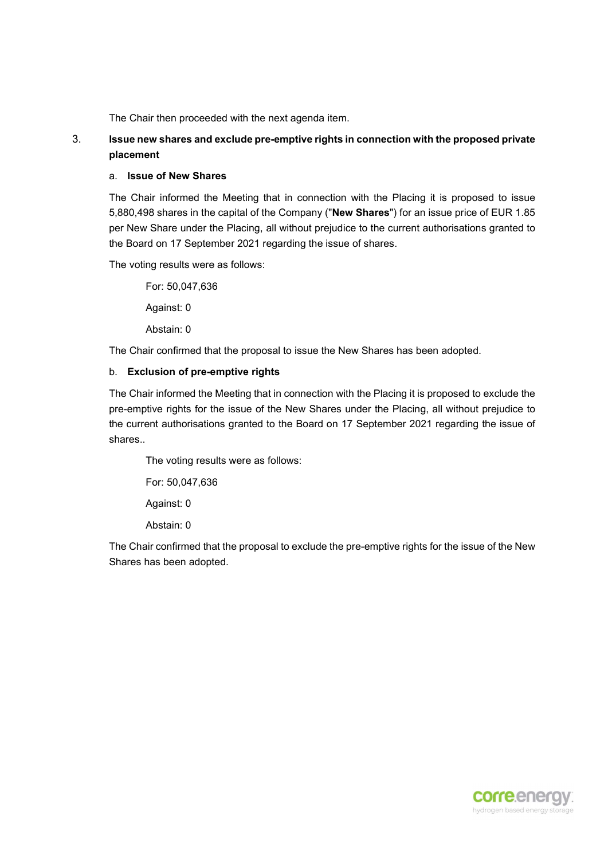The Chair then proceeded with the next agenda item.

### 3. Issue new shares and exclude pre-emptive rights in connection with the proposed private placement

#### a. Issue of New Shares

The Chair informed the Meeting that in connection with the Placing it is proposed to issue 5,880,498 shares in the capital of the Company ("New Shares") for an issue price of EUR 1.85 per New Share under the Placing, all without prejudice to the current authorisations granted to the Board on 17 September 2021 regarding the issue of shares.

The voting results were as follows:

For: 50,047,636 Against: 0 Abstain: 0

The Chair confirmed that the proposal to issue the New Shares has been adopted.

#### b. Exclusion of pre-emptive rights

The Chair informed the Meeting that in connection with the Placing it is proposed to exclude the pre-emptive rights for the issue of the New Shares under the Placing, all without prejudice to the current authorisations granted to the Board on 17 September 2021 regarding the issue of shares..

The voting results were as follows:

For: 50,047,636

Against: 0

Abstain: 0

The Chair confirmed that the proposal to exclude the pre-emptive rights for the issue of the New Shares has been adopted.

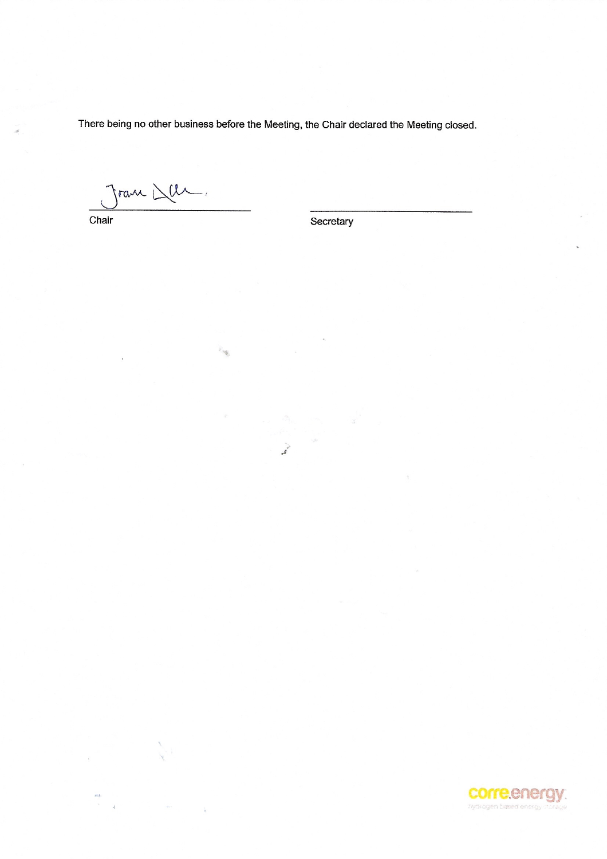There being no other business before the Meeting, the Chair declared the Meeting closed.

 $\mathcal{L}$ 

Jran Del

 $\mathcal{E}_{\mathcal{M}_{\mathcal{G}}}$ 

Chair

es. Ä Secretary